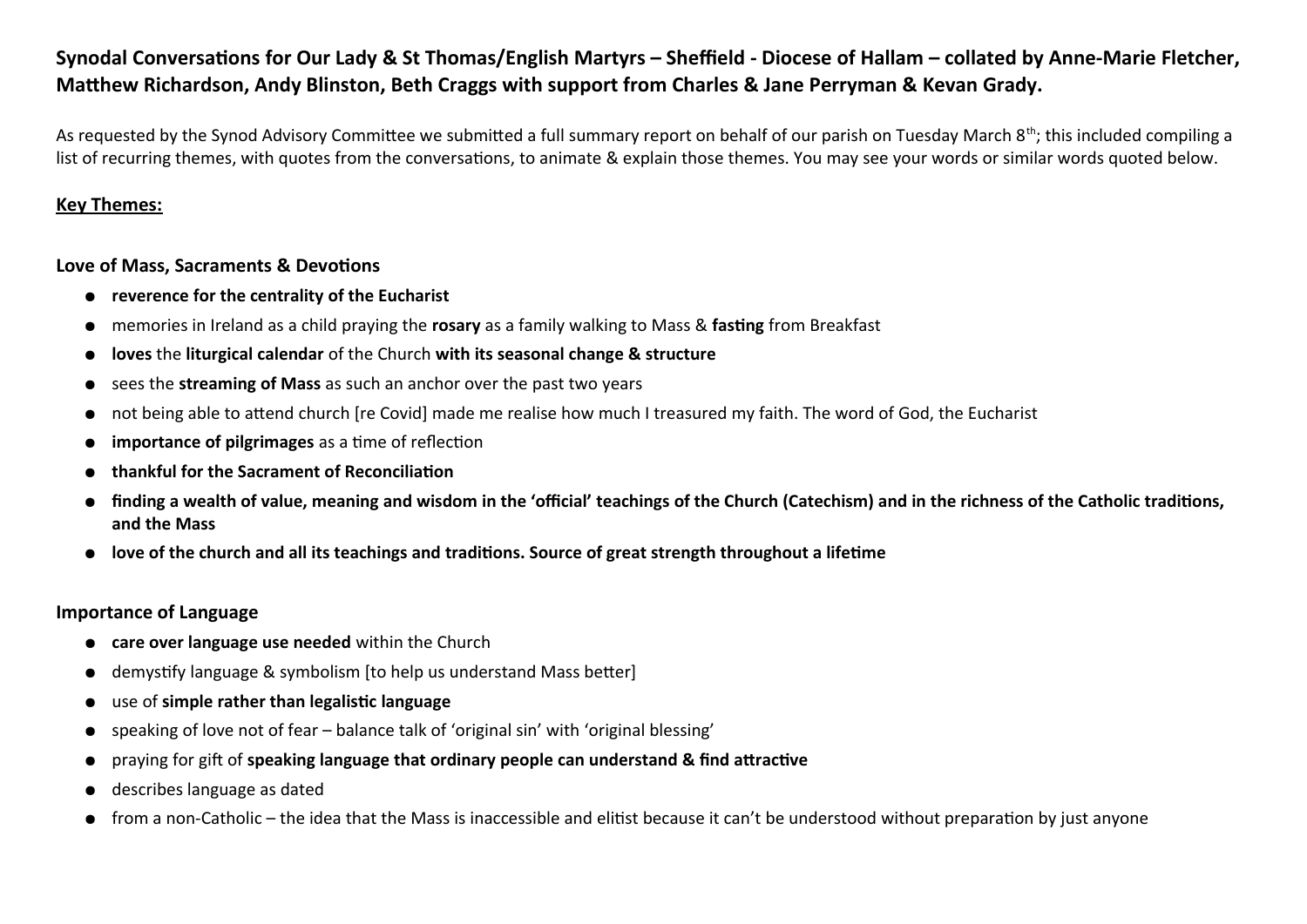# **Synodal Conversations for Our Lady & St Thomas/English Martyrs – Sheffield - Diocese of Hallam – collated by Anne-Marie Fletcher, Matthew Richardson, Andy Blinston, Beth Craggs with support from Charles & Jane Perryman & Kevan Grady.**

As requested by the Synod Advisory Committee we submitted a full summary report on behalf of our parish on Tuesday March 8<sup>th</sup>; this included compiling a list of recurring themes, with quotes from the conversations, to animate & explain those themes. You may see your words or similar words quoted below.

## **Key Themes:**

### **Love of Mass, Sacraments & Devotions**

- **reverence for the centrality of the Eucharist**
- memories in Ireland as a child praying the **rosary** as a family walking to Mass & **fasting** from Breakfast
- **loves** the **liturgical calendar** of the Church **with its seasonal change & structure**
- sees the **streaming of Mass** as such an anchor over the past two years
- not being able to attend church [re Covid] made me realise how much I treasured my faith. The word of God, the Eucharist
- **importance of pilgrimages** as a time of reflection
- **thankful for the Sacrament of Reconciliation**
- **finding a wealth of value, meaning and wisdom in the 'official' teachings of the Church (Catechism) and in the richness of the Catholic traditions, and the Mass**
- **love of the church and all its teachings and traditions. Source of great strength throughout a lifetime**

## **Importance of Language**

- **care over language use needed** within the Church
- demystify language & symbolism [to help us understand Mass better]
- use of **simple rather than legalistic language**
- speaking of love not of fear balance talk of 'original sin' with 'original blessing'
- praying for gift of **speaking language that ordinary people can understand & find attractive**
- describes language as dated
- from a non-Catholic the idea that the Mass is inaccessible and elitist because it can't be understood without preparation by just anyone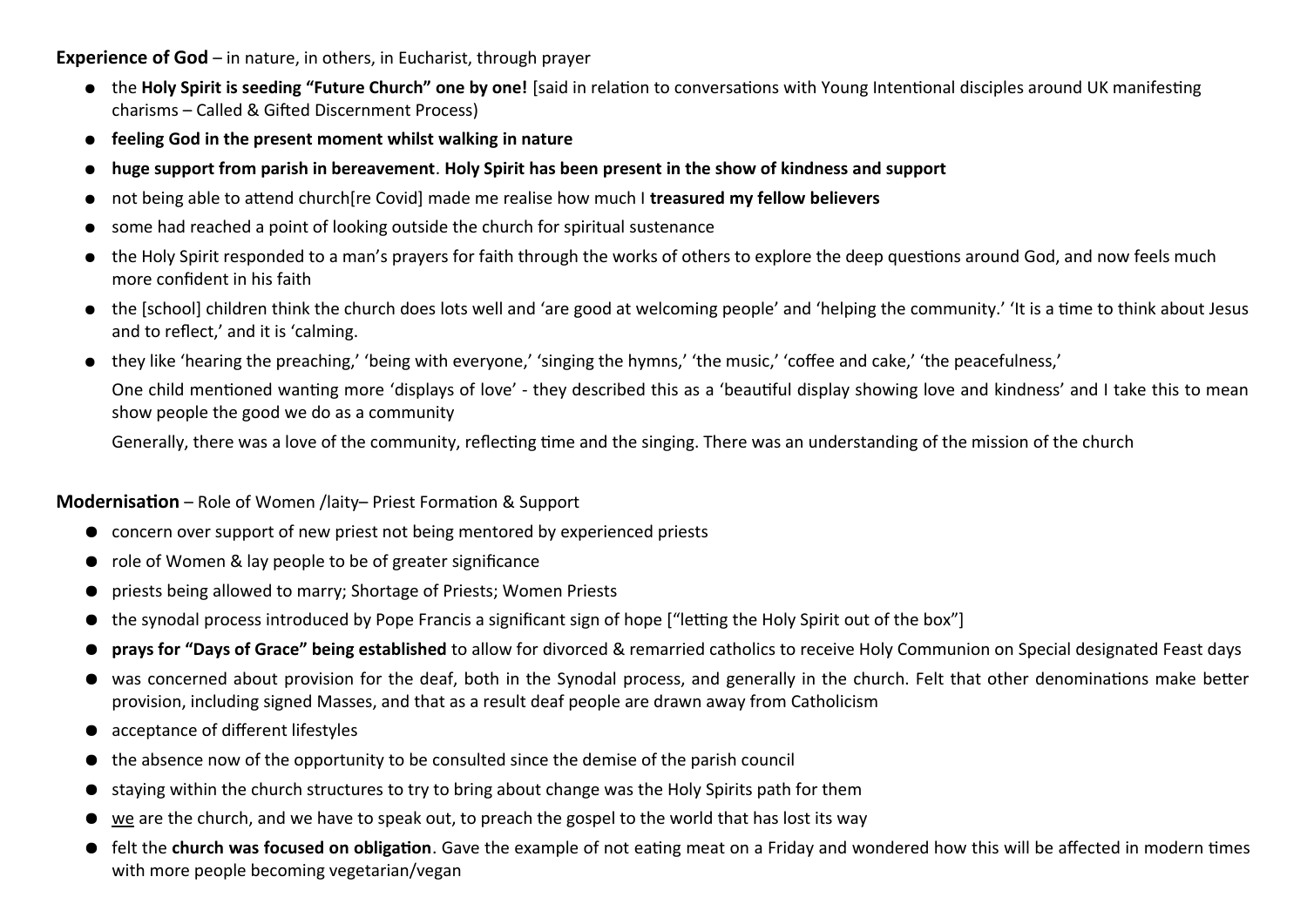**Experience of God** – in nature, in others, in Eucharist, through prayer

- the **Holy Spirit is seeding "Future Church" one by one!** [said in relation to conversations with Young Intentional disciples around UK manifesting charisms – Called & Gifted Discernment Process)
- **feeling God in the present moment whilst walking in nature**
- **huge support from parish in bereavement**. **Holy Spirit has been present in the show of kindness and support**
- not being able to attend church[re Covid] made me realise how much I **treasured my fellow believers**
- some had reached a point of looking outside the church for spiritual sustenance
- the Holy Spirit responded to a man's prayers for faith through the works of others to explore the deep questions around God, and now feels much more confident in his faith
- the [school] children think the church does lots well and 'are good at welcoming people' and 'helping the community.' 'It is a time to think about Jesus and to reflect,' and it is 'calming.
- they like 'hearing the preaching,' 'being with everyone,' 'singing the hymns,' 'the music,' 'coffee and cake,' 'the peacefulness,'

One child mentioned wanting more 'displays of love' - they described this as a 'beautiful display showing love and kindness' and I take this to mean show people the good we do as a community

Generally, there was a love of the community, reflecting time and the singing. There was an understanding of the mission of the church

#### **Modernisation** – Role of Women /laity– Priest Formation & Support

- concern over support of new priest not being mentored by experienced priests
- role of Women & lay people to be of greater significance
- priests being allowed to marry; Shortage of Priests; Women Priests
- the synodal process introduced by Pope Francis a significant sign of hope ["letting the Holy Spirit out of the box"]
- **prays for "Days of Grace" being established** to allow for divorced & remarried catholics to receive Holy Communion on Special designated Feast days
- was concerned about provision for the deaf, both in the Synodal process, and generally in the church. Felt that other denominations make better provision, including signed Masses, and that as a result deaf people are drawn away from Catholicism
- acceptance of different lifestyles
- the absence now of the opportunity to be consulted since the demise of the parish council
- staying within the church structures to try to bring about change was the Holy Spirits path for them
- we are the church, and we have to speak out, to preach the gospel to the world that has lost its way
- felt the **church was focused on obligation**. Gave the example of not eating meat on a Friday and wondered how this will be affected in modern times with more people becoming vegetarian/vegan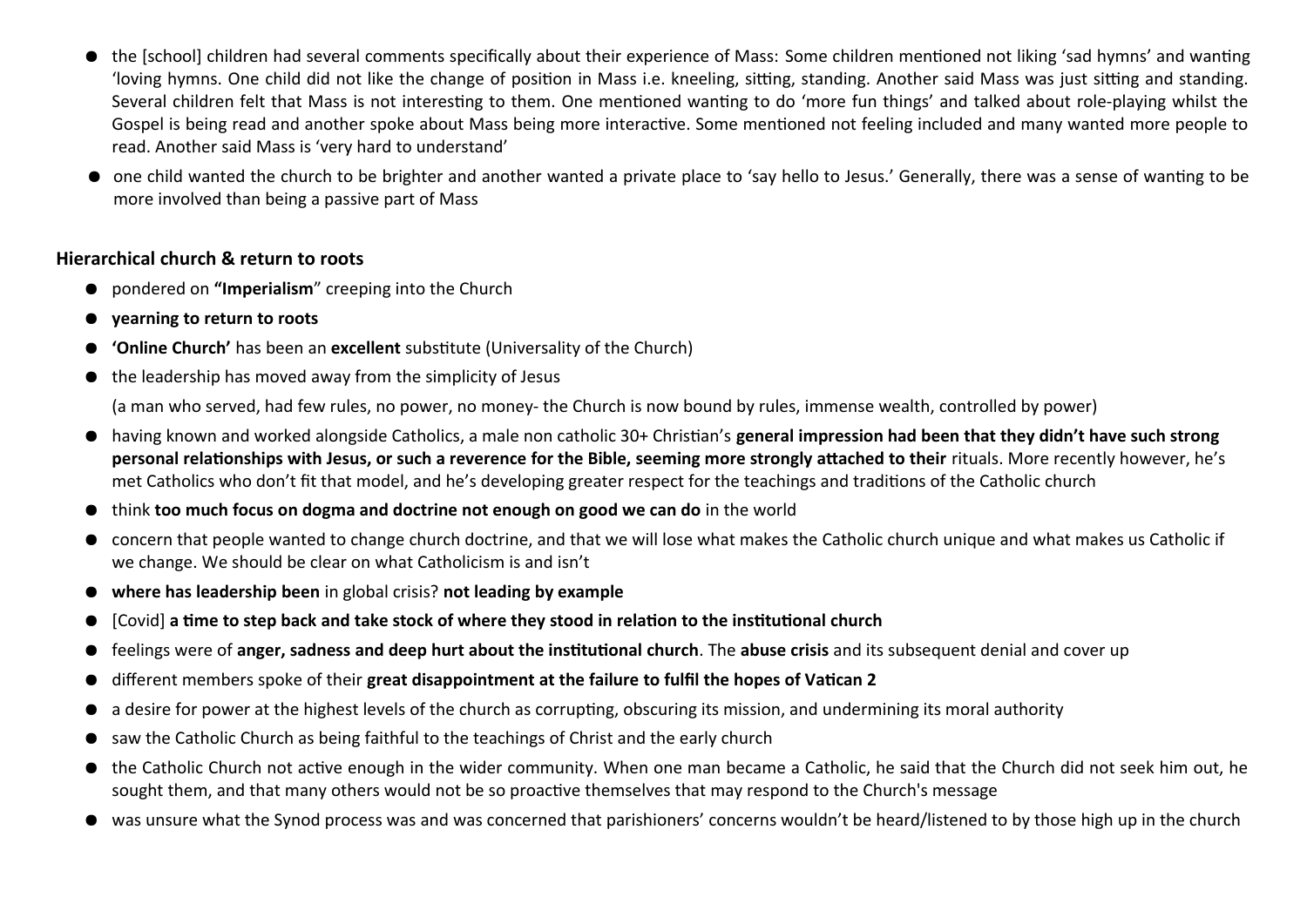- the [school] children had several comments specifically about their experience of Mass: Some children mentioned not liking 'sad hymns' and wanting 'loving hymns. One child did not like the change of position in Mass i.e. kneeling, sitting, standing. Another said Mass was just sitting and standing. Several children felt that Mass is not interesting to them. One mentioned wanting to do 'more fun things' and talked about role-playing whilst the Gospel is being read and another spoke about Mass being more interactive. Some mentioned not feeling included and many wanted more people to read. Another said Mass is 'very hard to understand'
- one child wanted the church to be brighter and another wanted a private place to 'say hello to Jesus.' Generally, there was a sense of wanting to be more involved than being a passive part of Mass

### **Hierarchical church & return to roots**

- pondered on **"Imperialism**" creeping into the Church
- **yearning to return to roots**
- **'Online Church'** has been an **excellent** substitute (Universality of the Church)
- the leadership has moved away from the simplicity of Jesus

(a man who served, had few rules, no power, no money- the Church is now bound by rules, immense wealth, controlled by power)

- having known and worked alongside Catholics, a male non catholic 30+ Christian's **general impression had been that they didn't have such strong personal relationships with Jesus, or such a reverence for the Bible, seeming more strongly attached to their** rituals. More recently however, he's met Catholics who don't fit that model, and he's developing greater respect for the teachings and traditions of the Catholic church
- think **too much focus on dogma and doctrine not enough on good we can do** in the world
- concern that people wanted to change church doctrine, and that we will lose what makes the Catholic church unique and what makes us Catholic if we change. We should be clear on what Catholicism is and isn't
- **where has leadership been** in global crisis? **not leading by example**
- [Covid] **a time to step back and take stock of where they stood in relation to the institutional church**
- feelings were of **anger, sadness and deep hurt about the institutional church**. The **abuse crisis** and its subsequent denial and cover up
- different members spoke of their **great disappointment at the failure to fulfil the hopes of Vatican 2**
- a desire for power at the highest levels of the church as corrupting, obscuring its mission, and undermining its moral authority
- saw the Catholic Church as being faithful to the teachings of Christ and the early church
- the Catholic Church not active enough in the wider community. When one man became a Catholic, he said that the Church did not seek him out, he sought them, and that many others would not be so proactive themselves that may respond to the Church's message
- was unsure what the Synod process was and was concerned that parishioners' concerns wouldn't be heard/listened to by those high up in the church